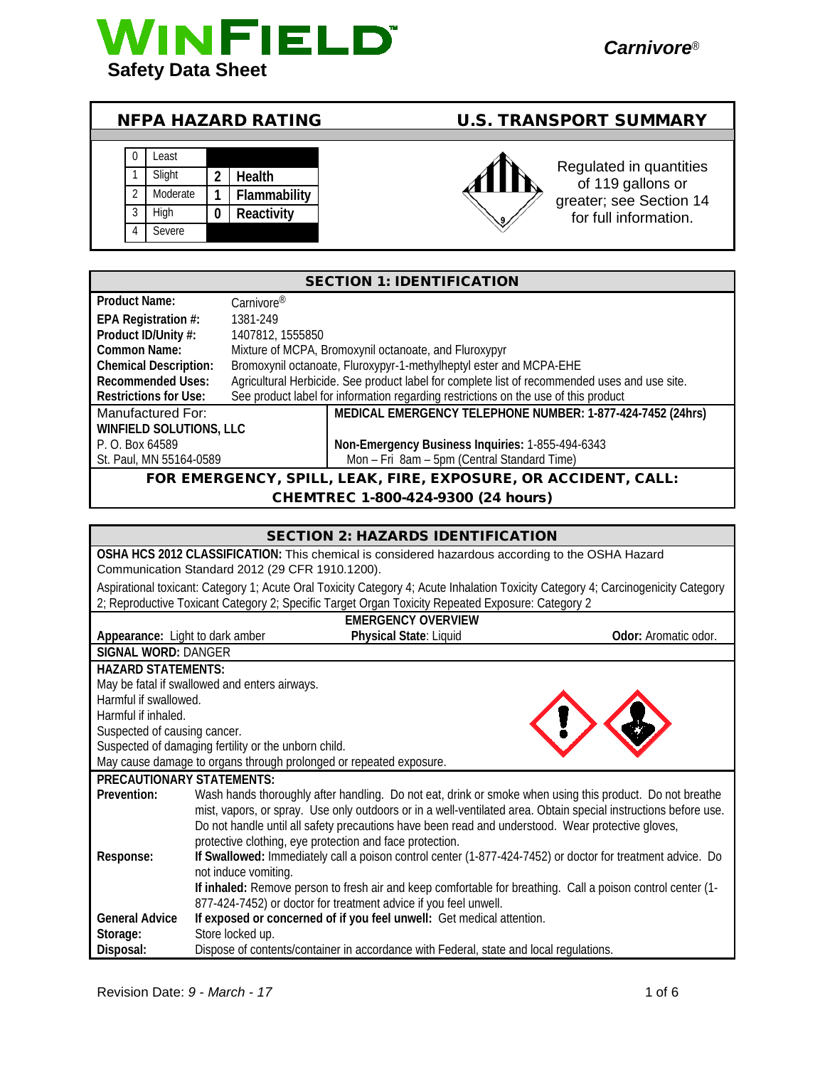

## NFPA HAZARD RATING U.S. TRANSPORT SUMMARY





Regulated in quantities of 119 gallons or greater; see Section 14 for full information.

| <b>SECTION 1: IDENTIFICATION</b>                               |                                                                                               |                                                                                     |
|----------------------------------------------------------------|-----------------------------------------------------------------------------------------------|-------------------------------------------------------------------------------------|
| <b>Product Name:</b>                                           | Carnivore <sup>®</sup>                                                                        |                                                                                     |
| EPA Registration #:                                            | 1381-249                                                                                      |                                                                                     |
| Product ID/Unity #:                                            | 1407812, 1555850                                                                              |                                                                                     |
| Common Name:                                                   | Mixture of MCPA, Bromoxynil octanoate, and Fluroxypyr                                         |                                                                                     |
| <b>Chemical Description:</b>                                   | Bromoxynil octanoate, Fluroxypyr-1-methylheptyl ester and MCPA-EHE                            |                                                                                     |
| <b>Recommended Uses:</b>                                       | Agricultural Herbicide. See product label for complete list of recommended uses and use site. |                                                                                     |
| <b>Restrictions for Use:</b>                                   |                                                                                               | See product label for information regarding restrictions on the use of this product |
| Manufactured For:                                              |                                                                                               | MEDICAL EMERGENCY TELEPHONE NUMBER: 1-877-424-7452 (24hrs)                          |
| <b>WINFIELD SOLUTIONS, LLC</b>                                 |                                                                                               |                                                                                     |
| P. O. Box 64589                                                |                                                                                               | Non-Emergency Business Inquiries: 1-855-494-6343                                    |
| St. Paul, MN 55164-0589                                        |                                                                                               | Mon - Fri 8am - 5pm (Central Standard Time)                                         |
| FOR EMERGENCY, SPILL, LEAK, FIRE, EXPOSURE, OR ACCIDENT, CALL: |                                                                                               |                                                                                     |

### CHEMTREC 1-800-424-9300 (24 hours)

|                                  | <b>SECTION 2: HAZARDS IDENTIFICATION</b>                                                                                          |                      |  |
|----------------------------------|-----------------------------------------------------------------------------------------------------------------------------------|----------------------|--|
|                                  | OSHA HCS 2012 CLASSIFICATION: This chemical is considered hazardous according to the OSHA Hazard                                  |                      |  |
|                                  | Communication Standard 2012 (29 CFR 1910.1200).                                                                                   |                      |  |
|                                  | Aspirational toxicant: Category 1; Acute Oral Toxicity Category 4; Acute Inhalation Toxicity Category 4; Carcinogenicity Category |                      |  |
|                                  | 2; Reproductive Toxicant Category 2; Specific Target Organ Toxicity Repeated Exposure: Category 2                                 |                      |  |
|                                  | <b>EMERGENCY OVERVIEW</b>                                                                                                         |                      |  |
| Appearance: Light to dark amber  | Physical State: Liquid                                                                                                            | Odor: Aromatic odor. |  |
| <b>SIGNAL WORD: DANGER</b>       |                                                                                                                                   |                      |  |
| <b>HAZARD STATEMENTS:</b>        |                                                                                                                                   |                      |  |
|                                  | May be fatal if swallowed and enters airways.                                                                                     |                      |  |
| Harmful if swallowed.            |                                                                                                                                   |                      |  |
| Harmful if inhaled.              |                                                                                                                                   |                      |  |
|                                  | Suspected of causing cancer.                                                                                                      |                      |  |
|                                  | Suspected of damaging fertility or the unborn child.                                                                              |                      |  |
|                                  | May cause damage to organs through prolonged or repeated exposure.                                                                |                      |  |
| <b>PRECAUTIONARY STATEMENTS:</b> |                                                                                                                                   |                      |  |
| Prevention:                      | Wash hands thoroughly after handling. Do not eat, drink or smoke when using this product. Do not breathe                          |                      |  |
|                                  | mist, vapors, or spray. Use only outdoors or in a well-ventilated area. Obtain special instructions before use.                   |                      |  |
|                                  | Do not handle until all safety precautions have been read and understood. Wear protective gloves,                                 |                      |  |
|                                  | protective clothing, eye protection and face protection.                                                                          |                      |  |
| Response:                        | If Swallowed: Immediately call a poison control center (1-877-424-7452) or doctor for treatment advice. Do                        |                      |  |
|                                  | not induce vomiting.                                                                                                              |                      |  |
|                                  | If inhaled: Remove person to fresh air and keep comfortable for breathing. Call a poison control center (1-                       |                      |  |
|                                  | 877-424-7452) or doctor for treatment advice if you feel unwell.                                                                  |                      |  |
| <b>General Advice</b>            | If exposed or concerned of if you feel unwell: Get medical attention.                                                             |                      |  |
| Storage:                         | Store locked up.                                                                                                                  |                      |  |
| Disposal:                        | Dispose of contents/container in accordance with Federal, state and local regulations.                                            |                      |  |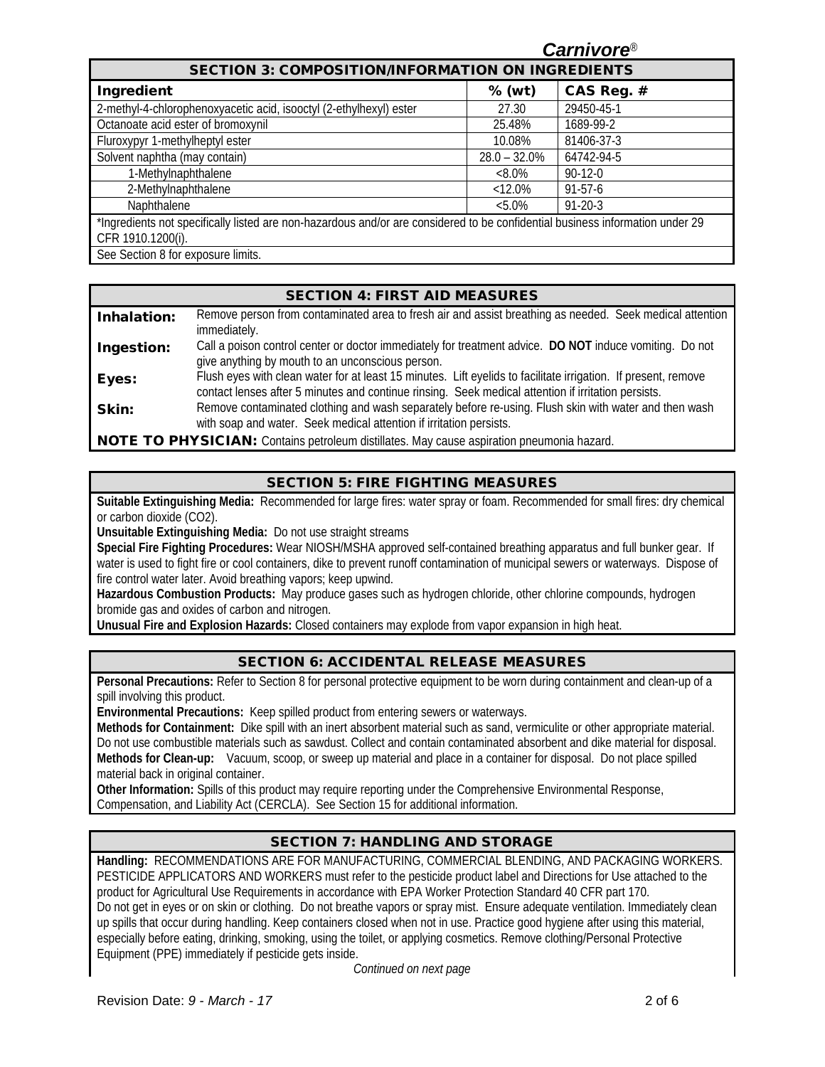|                                                                                                                               |                                                          | <b>Carnivore</b> ® |  |  |  |
|-------------------------------------------------------------------------------------------------------------------------------|----------------------------------------------------------|--------------------|--|--|--|
|                                                                                                                               | <b>SECTION 3: COMPOSITION/INFORMATION ON INGREDIENTS</b> |                    |  |  |  |
| Ingredient                                                                                                                    | $%$ (wt)                                                 | CAS Reg. #         |  |  |  |
| 2-methyl-4-chlorophenoxyacetic acid, isooctyl (2-ethylhexyl) ester                                                            | 27.30                                                    | 29450-45-1         |  |  |  |
| Octanoate acid ester of bromoxynil                                                                                            | 25.48%                                                   | 1689-99-2          |  |  |  |
| Fluroxypyr 1-methylheptyl ester                                                                                               | 10.08%                                                   | 81406-37-3         |  |  |  |
| Solvent naphtha (may contain)                                                                                                 | $28.0 - 32.0\%$                                          | 64742-94-5         |  |  |  |
| 1-Methylnaphthalene                                                                                                           | $<8.0\%$                                                 | $90-12-0$          |  |  |  |
| 2-Methylnaphthalene                                                                                                           | $< 12.0\%$                                               | $91 - 57 - 6$      |  |  |  |
| Naphthalene                                                                                                                   | $&5.0\%$                                                 | $91 - 20 - 3$      |  |  |  |
| *Ingredients not specifically listed are non-hazardous and/or are considered to be confidential business information under 29 |                                                          |                    |  |  |  |
| CFR 1910.1200(i).                                                                                                             |                                                          |                    |  |  |  |
| See Section 8 for exposure limits.                                                                                            |                                                          |                    |  |  |  |

|             | <b>SECTION 4: FIRST AID MEASURES</b>                                                                                                                                                                                  |
|-------------|-----------------------------------------------------------------------------------------------------------------------------------------------------------------------------------------------------------------------|
| Inhalation: | Remove person from contaminated area to fresh air and assist breathing as needed. Seek medical attention<br>immediately.                                                                                              |
| Ingestion:  | Call a poison control center or doctor immediately for treatment advice. DO NOT induce vomiting. Do not<br>give anything by mouth to an unconscious person.                                                           |
| Eyes:       | Flush eyes with clean water for at least 15 minutes. Lift eyelids to facilitate irrigation. If present, remove<br>contact lenses after 5 minutes and continue rinsing. Seek medical attention if irritation persists. |
| Skin:       | Remove contaminated clothing and wash separately before re-using. Flush skin with water and then wash<br>with soap and water. Seek medical attention if irritation persists.                                          |
|             | <b>NOTE TO DUVCICIAN</b> , Contains potroloum distillatos. May cause aspiration proumonia hazard                                                                                                                      |

**'HYSICIAN:** Contains petroleum distillates. May cause aspiration pneumonia hazard.

### SECTION 5: FIRE FIGHTING MEASURES

**Suitable Extinguishing Media:** Recommended for large fires: water spray or foam. Recommended for small fires: dry chemical or carbon dioxide (CO2).

**Unsuitable Extinguishing Media:** Do not use straight streams

**Special Fire Fighting Procedures:** Wear NIOSH/MSHA approved self-contained breathing apparatus and full bunker gear. If water is used to fight fire or cool containers, dike to prevent runoff contamination of municipal sewers or waterways. Dispose of fire control water later. Avoid breathing vapors; keep upwind.

**Hazardous Combustion Products:** May produce gases such as hydrogen chloride, other chlorine compounds, hydrogen bromide gas and oxides of carbon and nitrogen.

**Unusual Fire and Explosion Hazards:** Closed containers may explode from vapor expansion in high heat.

### SECTION 6: ACCIDENTAL RELEASE MEASURES

**Personal Precautions:** Refer to Section 8 for personal protective equipment to be worn during containment and clean-up of a spill involving this product.

**Environmental Precautions:** Keep spilled product from entering sewers or waterways.

**Methods for Containment:** Dike spill with an inert absorbent material such as sand, vermiculite or other appropriate material. Do not use combustible materials such as sawdust. Collect and contain contaminated absorbent and dike material for disposal. **Methods for Clean-up:** Vacuum, scoop, or sweep up material and place in a container for disposal. Do not place spilled material back in original container.

**Other Information:** Spills of this product may require reporting under the Comprehensive Environmental Response, Compensation, and Liability Act (CERCLA). See Section 15 for additional information.

### SECTION 7: HANDLING AND STORAGE

**Handling:** RECOMMENDATIONS ARE FOR MANUFACTURING, COMMERCIAL BLENDING, AND PACKAGING WORKERS. PESTICIDE APPLICATORS AND WORKERS must refer to the pesticide product label and Directions for Use attached to the product for Agricultural Use Requirements in accordance with EPA Worker Protection Standard 40 CFR part 170. Do not get in eyes or on skin or clothing. Do not breathe vapors or spray mist. Ensure adequate ventilation. Immediately clean up spills that occur during handling. Keep containers closed when not in use. Practice good hygiene after using this material, especially before eating, drinking, smoking, using the toilet, or applying cosmetics. Remove clothing/Personal Protective Equipment (PPE) immediately if pesticide gets inside.

*Continued on next page*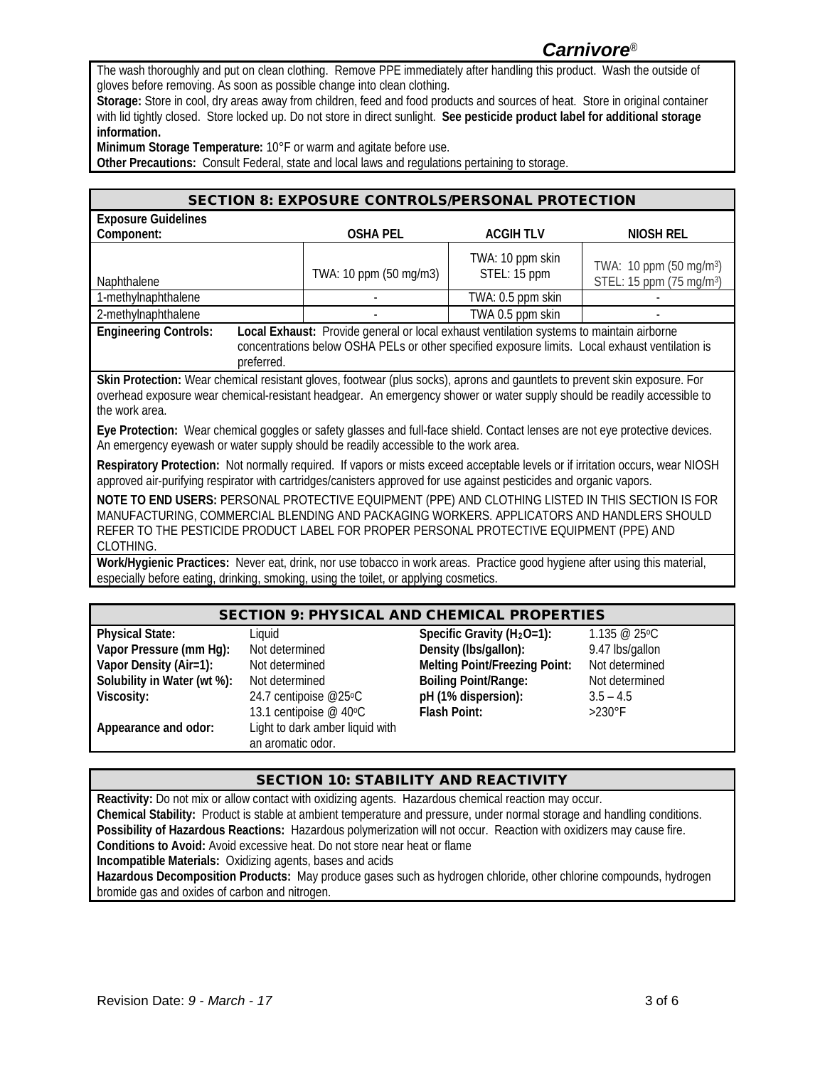# *Carnivore*®

The wash thoroughly and put on clean clothing. Remove PPE immediately after handling this product. Wash the outside of gloves before removing. As soon as possible change into clean clothing.

**Storage:** Store in cool, dry areas away from children, feed and food products and sources of heat. Store in original container with lid tightly closed. Store locked up. Do not store in direct sunlight. **See pesticide product label for additional storage information.**

**Minimum Storage Temperature:** 10°F or warm and agitate before use.

**Other Precautions:** Consult Federal, state and local laws and regulations pertaining to storage.

| <b>SECTION 8: EXPOSURE CONTROLS/PERSONAL PROTECTION</b>                                                                                                                                                                                                                                                |                        |                                  |                                                                             |  |
|--------------------------------------------------------------------------------------------------------------------------------------------------------------------------------------------------------------------------------------------------------------------------------------------------------|------------------------|----------------------------------|-----------------------------------------------------------------------------|--|
| <b>Exposure Guidelines</b>                                                                                                                                                                                                                                                                             |                        |                                  |                                                                             |  |
| Component:                                                                                                                                                                                                                                                                                             | <b>OSHA PEL</b>        | <b>ACGIHTLV</b>                  | <b>NIOSH REL</b>                                                            |  |
| Naphthalene                                                                                                                                                                                                                                                                                            | TWA: 10 ppm (50 mg/m3) | TWA: 10 ppm skin<br>STEL: 15 ppm | TWA: 10 ppm (50 mg/m <sup>3</sup> )<br>STEL: 15 ppm (75 mg/m <sup>3</sup> ) |  |
| 1-methylnaphthalene                                                                                                                                                                                                                                                                                    |                        | TWA: 0.5 ppm skin                |                                                                             |  |
| 2-methylnaphthalene                                                                                                                                                                                                                                                                                    |                        | TWA 0.5 ppm skin                 |                                                                             |  |
| Local Exhaust: Provide general or local exhaust ventilation systems to maintain airborne<br><b>Engineering Controls:</b><br>concentrations below OSHA PELs or other specified exposure limits. Local exhaust ventilation is<br>preferred.                                                              |                        |                                  |                                                                             |  |
| Skin Protection: Wear chemical resistant gloves, footwear (plus socks), aprons and gauntlets to prevent skin exposure. For<br>overhead exposure wear chemical-resistant headgear. An emergency shower or water supply should be readily accessible to<br>the work area.                                |                        |                                  |                                                                             |  |
| Eye Protection: Wear chemical goggles or safety glasses and full-face shield. Contact lenses are not eye protective devices.<br>An emergency eyewash or water supply should be readily accessible to the work area.                                                                                    |                        |                                  |                                                                             |  |
| Respiratory Protection: Not normally required. If vapors or mists exceed acceptable levels or if irritation occurs, wear NIOSH<br>approved air-purifying respirator with cartridges/canisters approved for use against pesticides and organic vapors.                                                  |                        |                                  |                                                                             |  |
| NOTE TO END USERS: PERSONAL PROTECTIVE EQUIPMENT (PPE) AND CLOTHING LISTED IN THIS SECTION IS FOR<br>MANUFACTURING, COMMERCIAL BLENDING AND PACKAGING WORKERS. APPLICATORS AND HANDLERS SHOULD<br>REFER TO THE PESTICIDE PRODUCT LABEL FOR PROPER PERSONAL PROTECTIVE EQUIPMENT (PPE) AND<br>CLOTHING. |                        |                                  |                                                                             |  |

**Work/Hygienic Practices:** Never eat, drink, nor use tobacco in work areas. Practice good hygiene after using this material, especially before eating, drinking, smoking, using the toilet, or applying cosmetics.

#### SECTION 9: PHYSICAL AND CHEMICAL PROPERTIES

| <b>Physical State:</b>      | Liquid                          | Specific Gravity ( $H_2O=1$ ):       | $1.135 \ @ 25°C$ |
|-----------------------------|---------------------------------|--------------------------------------|------------------|
| Vapor Pressure (mm Hg):     | Not determined                  | Density (Ibs/gallon):                | 9.47 lbs/gallon  |
| Vapor Density (Air=1):      | Not determined                  | <b>Melting Point/Freezing Point:</b> | Not determined   |
| Solubility in Water (wt %): | Not determined                  | <b>Boiling Point/Range:</b>          | Not determined   |
| Viscosity:                  | 24.7 centipoise @25°C           | pH (1% dispersion):                  | $3.5 - 4.5$      |
|                             | 13.1 centipoise @ 40°C          | Flash Point:                         | $>230^\circ$ F   |
| Appearance and odor:        | Light to dark amber liquid with |                                      |                  |
|                             | an aromatic odor.               |                                      |                  |

### SECTION 10: STABILITY AND REACTIVITY

**Reactivity:** Do not mix or allow contact with oxidizing agents. Hazardous chemical reaction may occur. **Chemical Stability:** Product is stable at ambient temperature and pressure, under normal storage and handling conditions. **Possibility of Hazardous Reactions:** Hazardous polymerization will not occur. Reaction with oxidizers may cause fire. **Conditions to Avoid:** Avoid excessive heat. Do not store near heat or flame **Incompatible Materials:** Oxidizing agents, bases and acids **Hazardous Decomposition Products:** May produce gases such as hydrogen chloride, other chlorine compounds, hydrogen bromide gas and oxides of carbon and nitrogen.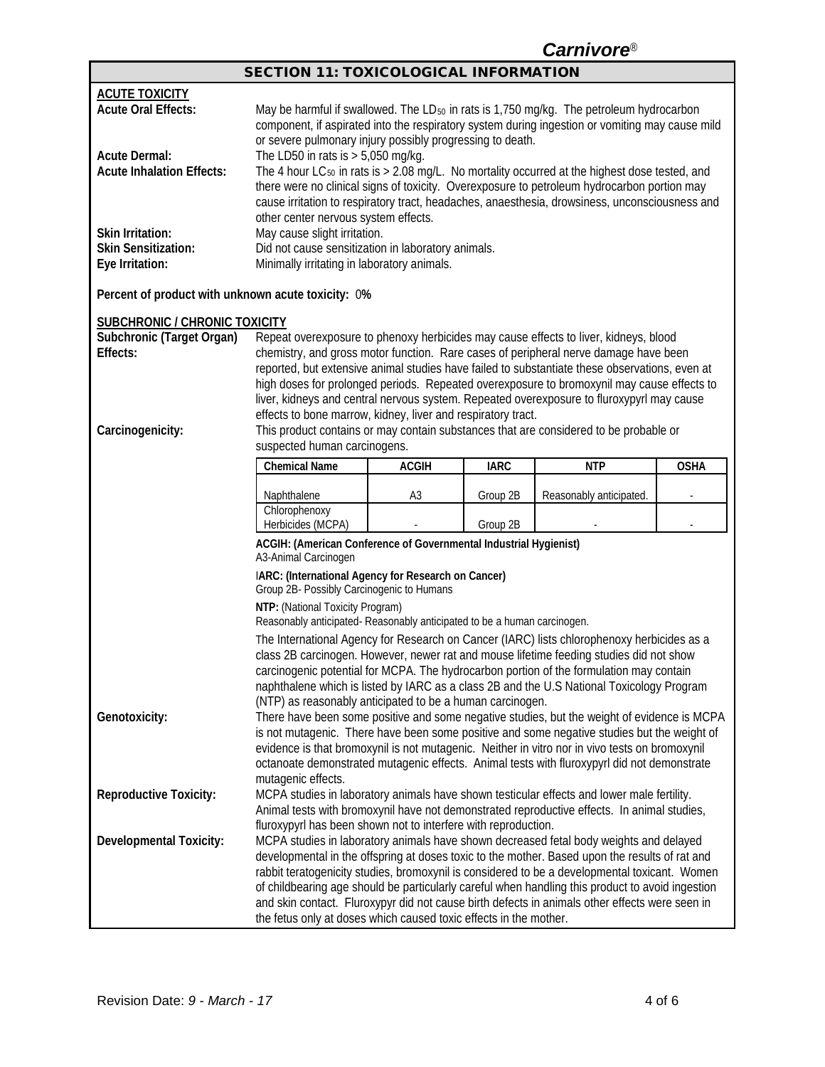*Carnivore*®

| <b>SECTION 11: TOXICOLOGICAL INFORMATION</b> |
|----------------------------------------------|
|----------------------------------------------|

| <b>ACUTE TOXICITY</b><br><b>Acute Oral Effects:</b><br><b>Acute Dermal:</b> | May be harmful if swallowed. The LD <sub>50</sub> in rats is 1,750 mg/kg. The petroleum hydrocarbon<br>component, if aspirated into the respiratory system during ingestion or vomiting may cause mild<br>or severe pulmonary injury possibly progressing to death.                                                                                                                                                                                                                |                |             |                                                                                                                                                                                                   |             |
|-----------------------------------------------------------------------------|------------------------------------------------------------------------------------------------------------------------------------------------------------------------------------------------------------------------------------------------------------------------------------------------------------------------------------------------------------------------------------------------------------------------------------------------------------------------------------|----------------|-------------|---------------------------------------------------------------------------------------------------------------------------------------------------------------------------------------------------|-------------|
| <b>Acute Inhalation Effects:</b>                                            | The LD50 in rats is $> 5,050$ mg/kg.<br>The 4 hour LC <sub>50</sub> in rats is $> 2.08$ mg/L. No mortality occurred at the highest dose tested, and<br>there were no clinical signs of toxicity. Overexposure to petroleum hydrocarbon portion may<br>cause irritation to respiratory tract, headaches, anaesthesia, drowsiness, unconsciousness and<br>other center nervous system effects.                                                                                       |                |             |                                                                                                                                                                                                   |             |
| Skin Irritation:<br><b>Skin Sensitization:</b><br>Eye Irritation:           | May cause slight irritation.<br>Did not cause sensitization in laboratory animals.<br>Minimally irritating in laboratory animals.                                                                                                                                                                                                                                                                                                                                                  |                |             |                                                                                                                                                                                                   |             |
| Percent of product with unknown acute toxicity: 0%                          |                                                                                                                                                                                                                                                                                                                                                                                                                                                                                    |                |             |                                                                                                                                                                                                   |             |
| <b>SUBCHRONIC / CHRONIC TOXICITY</b>                                        |                                                                                                                                                                                                                                                                                                                                                                                                                                                                                    |                |             |                                                                                                                                                                                                   |             |
| Subchronic (Target Organ)<br>Effects:                                       |                                                                                                                                                                                                                                                                                                                                                                                                                                                                                    |                |             | Repeat overexposure to phenoxy herbicides may cause effects to liver, kidneys, blood<br>chemistry, and gross motor function. Rare cases of peripheral nerve damage have been                      |             |
| Carcinogenicity:                                                            | reported, but extensive animal studies have failed to substantiate these observations, even at<br>high doses for prolonged periods. Repeated overexposure to bromoxynil may cause effects to<br>liver, kidneys and central nervous system. Repeated overexposure to fluroxypyrl may cause<br>effects to bone marrow, kidney, liver and respiratory tract.<br>This product contains or may contain substances that are considered to be probable or<br>suspected human carcinogens. |                |             |                                                                                                                                                                                                   |             |
|                                                                             | <b>Chemical Name</b>                                                                                                                                                                                                                                                                                                                                                                                                                                                               | <b>ACGIH</b>   | <b>IARC</b> | <b>NTP</b>                                                                                                                                                                                        | <b>OSHA</b> |
|                                                                             | Naphthalene                                                                                                                                                                                                                                                                                                                                                                                                                                                                        | A <sub>3</sub> | Group 2B    | Reasonably anticipated.                                                                                                                                                                           |             |
|                                                                             | Chlorophenoxy<br>Herbicides (MCPA)                                                                                                                                                                                                                                                                                                                                                                                                                                                 |                | Group 2B    |                                                                                                                                                                                                   |             |
|                                                                             | ACGIH: (American Conference of Governmental Industrial Hygienist)<br>A3-Animal Carcinogen                                                                                                                                                                                                                                                                                                                                                                                          |                |             |                                                                                                                                                                                                   |             |
|                                                                             | IARC: (International Agency for Research on Cancer)<br>Group 2B- Possibly Carcinogenic to Humans                                                                                                                                                                                                                                                                                                                                                                                   |                |             |                                                                                                                                                                                                   |             |
|                                                                             | NTP: (National Toxicity Program)<br>Reasonably anticipated-Reasonably anticipated to be a human carcinogen.                                                                                                                                                                                                                                                                                                                                                                        |                |             |                                                                                                                                                                                                   |             |
|                                                                             | The International Agency for Research on Cancer (IARC) lists chlorophenoxy herbicides as a<br>class 2B carcinogen. However, newer rat and mouse lifetime feeding studies did not show<br>carcinogenic potential for MCPA. The hydrocarbon portion of the formulation may contain<br>naphthalene which is listed by IARC as a class 2B and the U.S National Toxicology Program                                                                                                      |                |             |                                                                                                                                                                                                   |             |
|                                                                             |                                                                                                                                                                                                                                                                                                                                                                                                                                                                                    |                |             |                                                                                                                                                                                                   |             |
| Genotoxicity:                                                               | (NTP) as reasonably anticipated to be a human carcinogen.                                                                                                                                                                                                                                                                                                                                                                                                                          |                |             | There have been some positive and some negative studies, but the weight of evidence is MCPA                                                                                                       |             |
|                                                                             |                                                                                                                                                                                                                                                                                                                                                                                                                                                                                    |                |             | is not mutagenic. There have been some positive and some negative studies but the weight of<br>evidence is that bromoxynil is not mutagenic. Neither in vitro nor in vivo tests on bromoxynil     |             |
|                                                                             |                                                                                                                                                                                                                                                                                                                                                                                                                                                                                    |                |             | octanoate demonstrated mutagenic effects. Animal tests with fluroxypyrl did not demonstrate                                                                                                       |             |
| Reproductive Toxicity:                                                      | mutagenic effects.<br>MCPA studies in laboratory animals have shown testicular effects and lower male fertility.<br>Animal tests with bromoxynil have not demonstrated reproductive effects. In animal studies,                                                                                                                                                                                                                                                                    |                |             |                                                                                                                                                                                                   |             |
|                                                                             | fluroxypyrl has been shown not to interfere with reproduction.                                                                                                                                                                                                                                                                                                                                                                                                                     |                |             |                                                                                                                                                                                                   |             |
| <b>Developmental Toxicity:</b>                                              |                                                                                                                                                                                                                                                                                                                                                                                                                                                                                    |                |             | MCPA studies in laboratory animals have shown decreased fetal body weights and delayed<br>developmental in the offspring at doses toxic to the mother. Based upon the results of rat and          |             |
|                                                                             |                                                                                                                                                                                                                                                                                                                                                                                                                                                                                    |                |             | rabbit teratogenicity studies, bromoxynil is considered to be a developmental toxicant. Women<br>of childbearing age should be particularly careful when handling this product to avoid ingestion |             |
|                                                                             | the fetus only at doses which caused toxic effects in the mother.                                                                                                                                                                                                                                                                                                                                                                                                                  |                |             | and skin contact. Fluroxypyr did not cause birth defects in animals other effects were seen in                                                                                                    |             |

Γ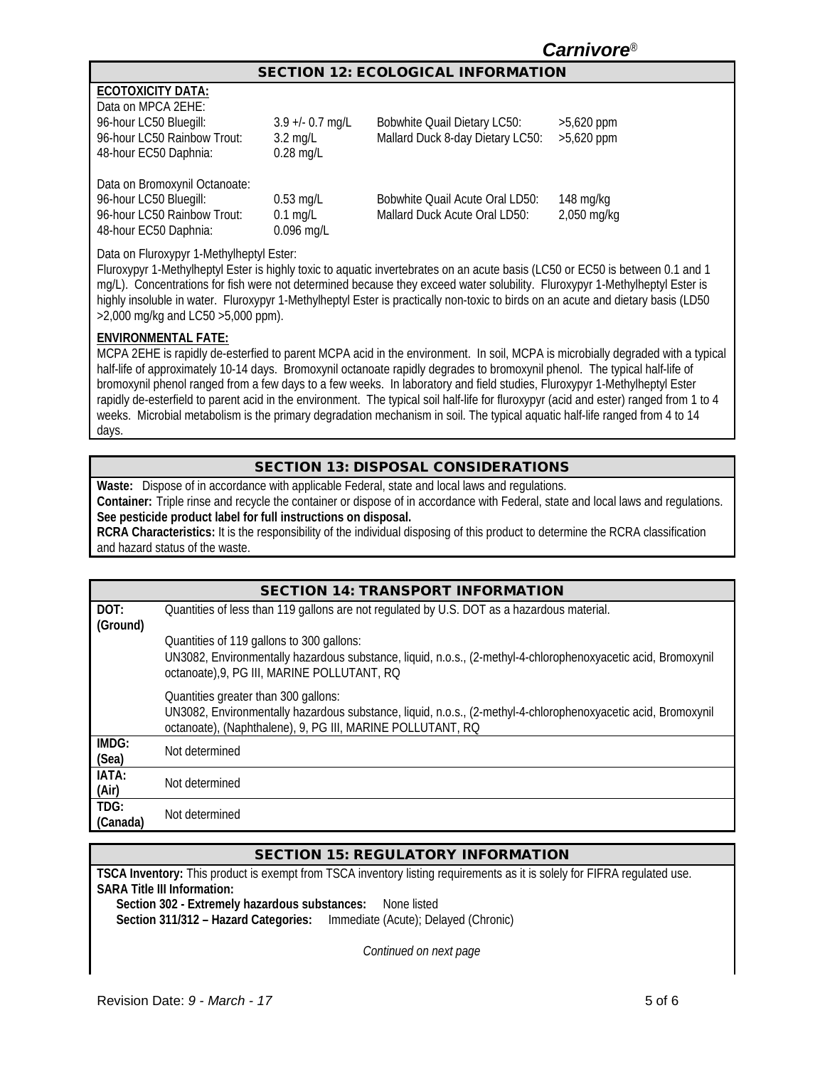# *Carnivore*®

#### SECTION 12: ECOLOGICAL INFORMATION

| <b>FCOTOXICITY DATA:</b> |  |
|--------------------------|--|
| Nata on MDC A 2EHE∙      |  |

48-hour EC50 Daphnia:

| Data on MPCA 2EHE:            |                    |                                  |              |
|-------------------------------|--------------------|----------------------------------|--------------|
| 96-hour LC50 Bluegill:        | $3.9 + 0.7$ mg/L   | Bobwhite Quail Dietary LC50:     | $>5,620$ ppm |
| 96-hour LC50 Rainbow Trout:   | $3.2 \text{ mg/L}$ | Mallard Duck 8-day Dietary LC50: | $>5,620$ ppm |
| 48-hour EC50 Daphnia:         | $0.28$ mg/L        |                                  |              |
|                               |                    |                                  |              |
| Data on Bromoxynil Octanoate: |                    |                                  |              |
| 96-hour LC50 Bluegill:        | $0.53$ mg/L        | Bobwhite Quail Acute Oral LD50:  | $148$ mg/kg  |
| 96-hour LC50 Rainbow Trout:   | $0.1$ mg/L         | Mallard Duck Acute Oral LD50:    | 2,050 mg/kg  |

Data on Fluroxypyr 1-Methylheptyl Ester:

Fluroxypyr 1-Methylheptyl Ester is highly toxic to aquatic invertebrates on an acute basis (LC50 or EC50 is between 0.1 and 1 mg/L). Concentrations for fish were not determined because they exceed water solubility. Fluroxypyr 1-Methylheptyl Ester is highly insoluble in water. Fluroxypyr 1-Methylheptyl Ester is practically non-toxic to birds on an acute and dietary basis (LD50 >2,000 mg/kg and LC50 >5,000 ppm).

#### **ENVIRONMENTAL FATE:**

MCPA 2EHE is rapidly de-esterfied to parent MCPA acid in the environment. In soil, MCPA is microbially degraded with a typical half-life of approximately 10-14 days. Bromoxynil octanoate rapidly degrades to bromoxynil phenol. The typical half-life of bromoxynil phenol ranged from a few days to a few weeks. In laboratory and field studies, Fluroxypyr 1-Methylheptyl Ester rapidly de-esterfield to parent acid in the environment. The typical soil half-life for fluroxypyr (acid and ester) ranged from 1 to 4 weeks. Microbial metabolism is the primary degradation mechanism in soil. The typical aquatic half-life ranged from 4 to 14 days.

### SECTION 13: DISPOSAL CONSIDERATIONS

**Waste:** Dispose of in accordance with applicable Federal, state and local laws and regulations.

0.096 mg/L

**Container:** Triple rinse and recycle the container or dispose of in accordance with Federal, state and local laws and regulations. **See pesticide product label for full instructions on disposal.**

**RCRA Characteristics:** It is the responsibility of the individual disposing of this product to determine the RCRA classification and hazard status of the waste.

|                  | <b>SECTION 14: TRANSPORT INFORMATION</b>                                                                                                                                                                            |
|------------------|---------------------------------------------------------------------------------------------------------------------------------------------------------------------------------------------------------------------|
| DOT:<br>(Ground) | Quantities of less than 119 gallons are not regulated by U.S. DOT as a hazardous material.                                                                                                                          |
|                  | Quantities of 119 gallons to 300 gallons:                                                                                                                                                                           |
|                  | UN3082, Environmentally hazardous substance, liquid, n.o.s., (2-methyl-4-chlorophenoxyacetic acid, Bromoxynil<br>octanoate), 9, PG III, MARINE POLLUTANT, RQ                                                        |
|                  | Quantities greater than 300 gallons:<br>UN3082, Environmentally hazardous substance, liquid, n.o.s., (2-methyl-4-chlorophenoxyacetic acid, Bromoxynil<br>octanoate), (Naphthalene), 9, PG III, MARINE POLLUTANT, RQ |
| IMDG:<br>(Sea)   | Not determined                                                                                                                                                                                                      |
| IATA:<br>(Air)   | Not determined                                                                                                                                                                                                      |
| TDG:<br>(Canada) | Not determined                                                                                                                                                                                                      |

### SECTION 15: REGULATORY INFORMATION

**TSCA Inventory:** This product is exempt from TSCA inventory listing requirements as it is solely for FIFRA regulated use. **SARA Title III Information:**

**Section 302 - Extremely hazardous substances:** None listed **Section 311/312 – Hazard Categories:** Immediate (Acute); Delayed (Chronic)

*Continued on next page*